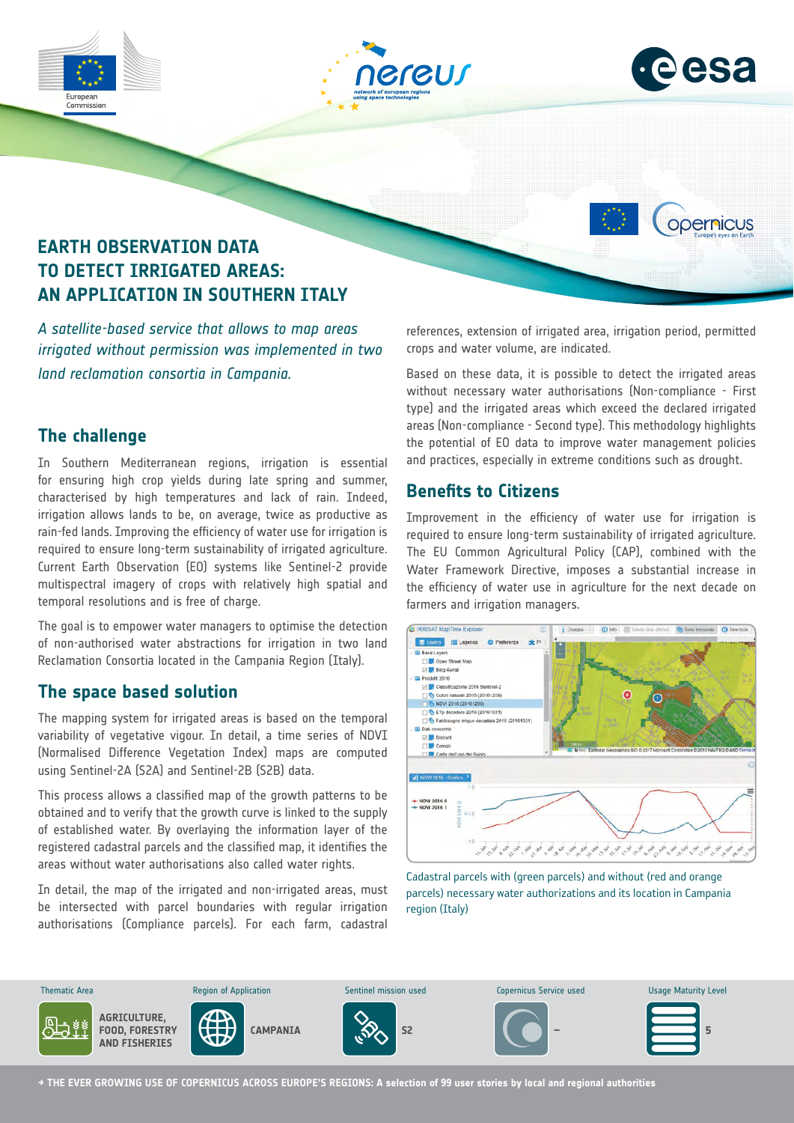





opernicus



*A satellite-based service that allows to map areas irrigated without permission was implemented in two land reclamation consortia in Campania.*

# **The challenge**

In Southern Mediterranean regions, irrigation is essential for ensuring high crop yields during late spring and summer, characterised by high temperatures and lack of rain. Indeed, irrigation allows lands to be, on average, twice as productive as rain-fed lands. Improving the efficiency of water use for irrigation is required to ensure long-term sustainability of irrigated agriculture. Current Earth Observation (EO) systems like Sentinel-2 provide multispectral imagery of crops with relatively high spatial and temporal resolutions and is free of charge.

The goal is to empower water managers to optimise the detection of non-authorised water abstractions for irrigation in two land Reclamation Consortia located in the Campania Region (Italy).

### **The space based solution**

The mapping system for irrigated areas is based on the temporal variability of vegetative vigour. In detail, a time series of NDVI (Normalised Difference Vegetation Index) maps are computed using Sentinel-2A (S2A) and Sentinel-2B (S2B) data.

This process allows a classified map of the growth patterns to be obtained and to verify that the growth curve is linked to the supply of established water. By overlaying the information layer of the registered cadastral parcels and the classified map, it identifies the areas without water authorisations also called water rights.

In detail, the map of the irrigated and non-irrigated areas, must be intersected with parcel boundaries with regular irrigation authorisations (Compliance parcels). For each farm, cadastral references, extension of irrigated area, irrigation period, permitted crops and water volume, are indicated.

Based on these data, it is possible to detect the irrigated areas without necessary water authorisations (Non-compliance - First type) and the irrigated areas which exceed the declared irrigated areas (Non-compliance - Second type). This methodology highlights the potential of EO data to improve water management policies and practices, especially in extreme conditions such as drought.

# **Benefits to Citizens**

Improvement in the efficiency of water use for irrigation is required to ensure long-term sustainability of irrigated agriculture. The EU Common Agricultural Policy (CAP), combined with the Water Framework Directive, imposes a substantial increase in the efficiency of water use in agriculture for the next decade on farmers and irrigation managers.



Cadastral parcels with (green parcels) and without (red and orange parcels) necessary water authorizations and its location in Campania region (Italy)



**→ THE EVER GROWING USE OF COPERNICUS ACROSS EUROPE'S REGIONS: A selection of 99 user stories by local and regional authorities**